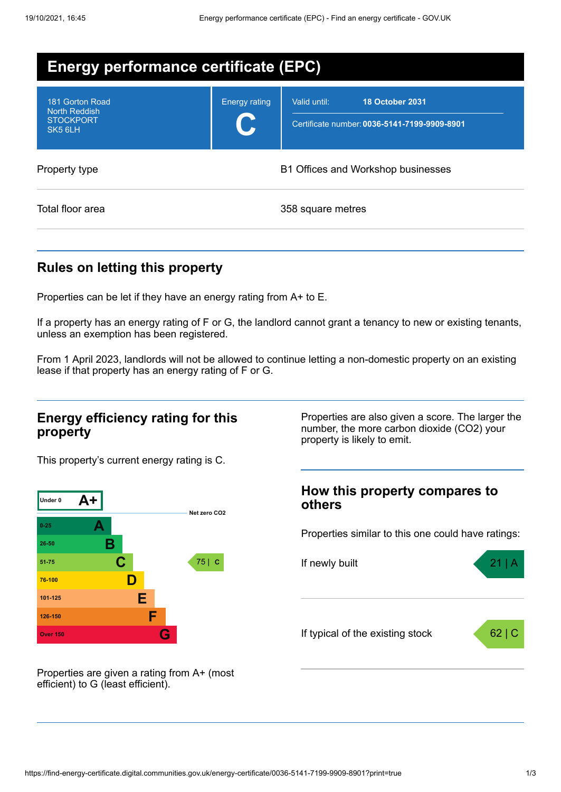| <b>Energy performance certificate (EPC)</b>                                        |                                    |                                                                                        |  |  |
|------------------------------------------------------------------------------------|------------------------------------|----------------------------------------------------------------------------------------|--|--|
| 181 Gorton Road<br><b>North Reddish</b><br><b>STOCKPORT</b><br>SK <sub>5</sub> 6LH | <b>Energy rating</b>               | Valid until:<br><b>18 October 2031</b><br>Certificate number: 0036-5141-7199-9909-8901 |  |  |
| Property type                                                                      | B1 Offices and Workshop businesses |                                                                                        |  |  |
| Total floor area                                                                   |                                    | 358 square metres                                                                      |  |  |

# **Rules on letting this property**

Properties can be let if they have an energy rating from A+ to E.

If a property has an energy rating of F or G, the landlord cannot grant a tenancy to new or existing tenants, unless an exemption has been registered.

From 1 April 2023, landlords will not be allowed to continue letting a non-domestic property on an existing lease if that property has an energy rating of F or G.

#### **Energy efficiency rating for this property**

This property's current energy rating is C.



number, the more carbon dioxide (CO2) your property is likely to emit.

Properties are also given a score. The larger the

### **How this property compares to others**

Properties similar to this one could have ratings:



Properties are given a rating from A+ (most efficient) to G (least efficient).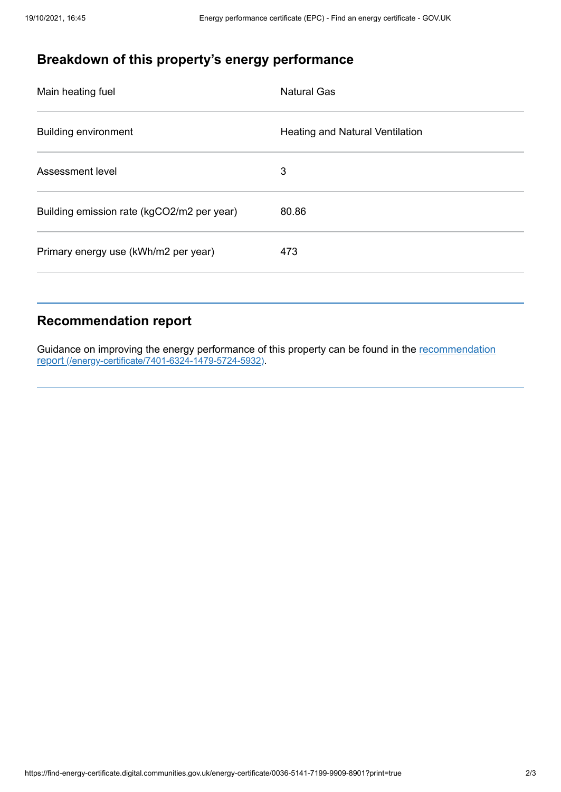# **Breakdown of this property's energy performance**

| Main heating fuel                          | <b>Natural Gas</b>                     |
|--------------------------------------------|----------------------------------------|
| <b>Building environment</b>                | <b>Heating and Natural Ventilation</b> |
| Assessment level                           | 3                                      |
| Building emission rate (kgCO2/m2 per year) | 80.86                                  |
| Primary energy use (kWh/m2 per year)       | 473                                    |
|                                            |                                        |

### **Recommendation report**

Guidance on improving the energy performance of this property can be found in the recommendation report [\(/energy-certificate/7401-6324-1479-5724-5932\)](https://find-energy-certificate.digital.communities.gov.uk/energy-certificate/7401-6324-1479-5724-5932).